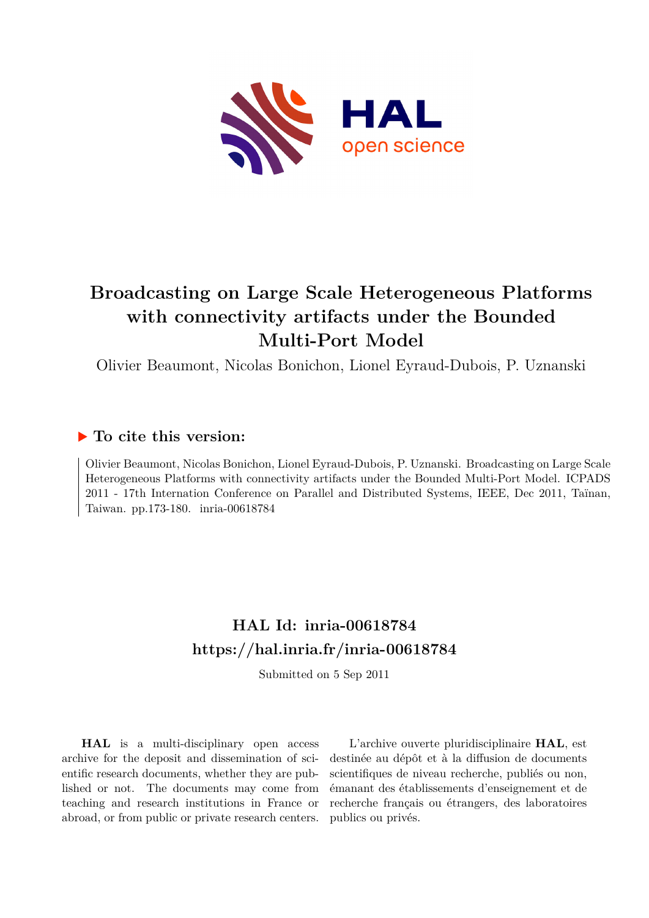

# **Broadcasting on Large Scale Heterogeneous Platforms with connectivity artifacts under the Bounded Multi-Port Model**

Olivier Beaumont, Nicolas Bonichon, Lionel Eyraud-Dubois, P. Uznanski

# **To cite this version:**

Olivier Beaumont, Nicolas Bonichon, Lionel Eyraud-Dubois, P. Uznanski. Broadcasting on Large Scale Heterogeneous Platforms with connectivity artifacts under the Bounded Multi-Port Model. ICPADS 2011 - 17th Internation Conference on Parallel and Distributed Systems, IEEE, Dec 2011, Taïnan, Taiwan. pp.173-180. inria-00618784

# **HAL Id: inria-00618784 <https://hal.inria.fr/inria-00618784>**

Submitted on 5 Sep 2011

**HAL** is a multi-disciplinary open access archive for the deposit and dissemination of scientific research documents, whether they are published or not. The documents may come from teaching and research institutions in France or abroad, or from public or private research centers.

L'archive ouverte pluridisciplinaire **HAL**, est destinée au dépôt et à la diffusion de documents scientifiques de niveau recherche, publiés ou non, émanant des établissements d'enseignement et de recherche français ou étrangers, des laboratoires publics ou privés.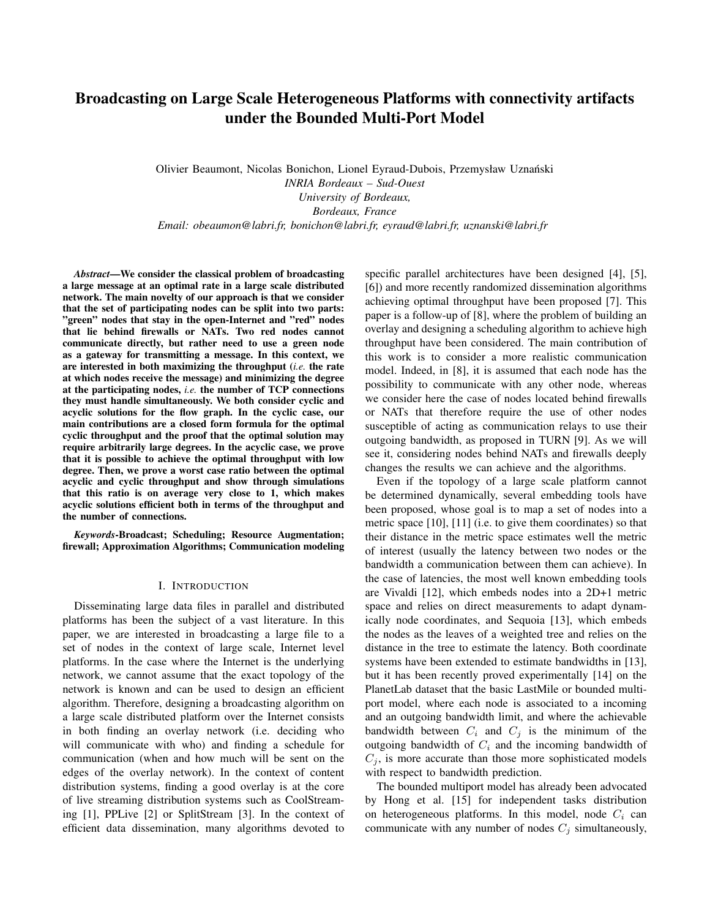# Broadcasting on Large Scale Heterogeneous Platforms with connectivity artifacts under the Bounded Multi-Port Model

Olivier Beaumont, Nicolas Bonichon, Lionel Eyraud-Dubois, Przemysław Uznański *INRIA Bordeaux – Sud-Ouest University of Bordeaux, Bordeaux, France Email: obeaumon@labri.fr, bonichon@labri.fr, eyraud@labri.fr, uznanski@labri.fr*

*Abstract*—We consider the classical problem of broadcasting a large message at an optimal rate in a large scale distributed network. The main novelty of our approach is that we consider that the set of participating nodes can be split into two parts: "green" nodes that stay in the open-Internet and "red" nodes that lie behind firewalls or NATs. Two red nodes cannot communicate directly, but rather need to use a green node as a gateway for transmitting a message. In this context, we are interested in both maximizing the throughput (*i.e.* the rate at which nodes receive the message) and minimizing the degree at the participating nodes, *i.e.* the number of TCP connections they must handle simultaneously. We both consider cyclic and acyclic solutions for the flow graph. In the cyclic case, our main contributions are a closed form formula for the optimal cyclic throughput and the proof that the optimal solution may require arbitrarily large degrees. In the acyclic case, we prove that it is possible to achieve the optimal throughput with low degree. Then, we prove a worst case ratio between the optimal acyclic and cyclic throughput and show through simulations that this ratio is on average very close to 1, which makes acyclic solutions efficient both in terms of the throughput and the number of connections.

*Keywords*-Broadcast; Scheduling; Resource Augmentation; firewall; Approximation Algorithms; Communication modeling

## I. INTRODUCTION

Disseminating large data files in parallel and distributed platforms has been the subject of a vast literature. In this paper, we are interested in broadcasting a large file to a set of nodes in the context of large scale, Internet level platforms. In the case where the Internet is the underlying network, we cannot assume that the exact topology of the network is known and can be used to design an efficient algorithm. Therefore, designing a broadcasting algorithm on a large scale distributed platform over the Internet consists in both finding an overlay network (i.e. deciding who will communicate with who) and finding a schedule for communication (when and how much will be sent on the edges of the overlay network). In the context of content distribution systems, finding a good overlay is at the core of live streaming distribution systems such as CoolStreaming [1], PPLive [2] or SplitStream [3]. In the context of efficient data dissemination, many algorithms devoted to specific parallel architectures have been designed [4], [5], [6]) and more recently randomized dissemination algorithms achieving optimal throughput have been proposed [7]. This paper is a follow-up of [8], where the problem of building an overlay and designing a scheduling algorithm to achieve high throughput have been considered. The main contribution of this work is to consider a more realistic communication model. Indeed, in [8], it is assumed that each node has the possibility to communicate with any other node, whereas we consider here the case of nodes located behind firewalls or NATs that therefore require the use of other nodes susceptible of acting as communication relays to use their outgoing bandwidth, as proposed in TURN [9]. As we will see it, considering nodes behind NATs and firewalls deeply changes the results we can achieve and the algorithms.

Even if the topology of a large scale platform cannot be determined dynamically, several embedding tools have been proposed, whose goal is to map a set of nodes into a metric space [10], [11] (i.e. to give them coordinates) so that their distance in the metric space estimates well the metric of interest (usually the latency between two nodes or the bandwidth a communication between them can achieve). In the case of latencies, the most well known embedding tools are Vivaldi [12], which embeds nodes into a 2D+1 metric space and relies on direct measurements to adapt dynamically node coordinates, and Sequoia [13], which embeds the nodes as the leaves of a weighted tree and relies on the distance in the tree to estimate the latency. Both coordinate systems have been extended to estimate bandwidths in [13], but it has been recently proved experimentally [14] on the PlanetLab dataset that the basic LastMile or bounded multiport model, where each node is associated to a incoming and an outgoing bandwidth limit, and where the achievable bandwidth between  $C_i$  and  $C_j$  is the minimum of the outgoing bandwidth of  $C_i$  and the incoming bandwidth of  $C_j$ , is more accurate than those more sophisticated models with respect to bandwidth prediction.

The bounded multiport model has already been advocated by Hong et al. [15] for independent tasks distribution on heterogeneous platforms. In this model, node  $C_i$  can communicate with any number of nodes  $C_j$  simultaneously,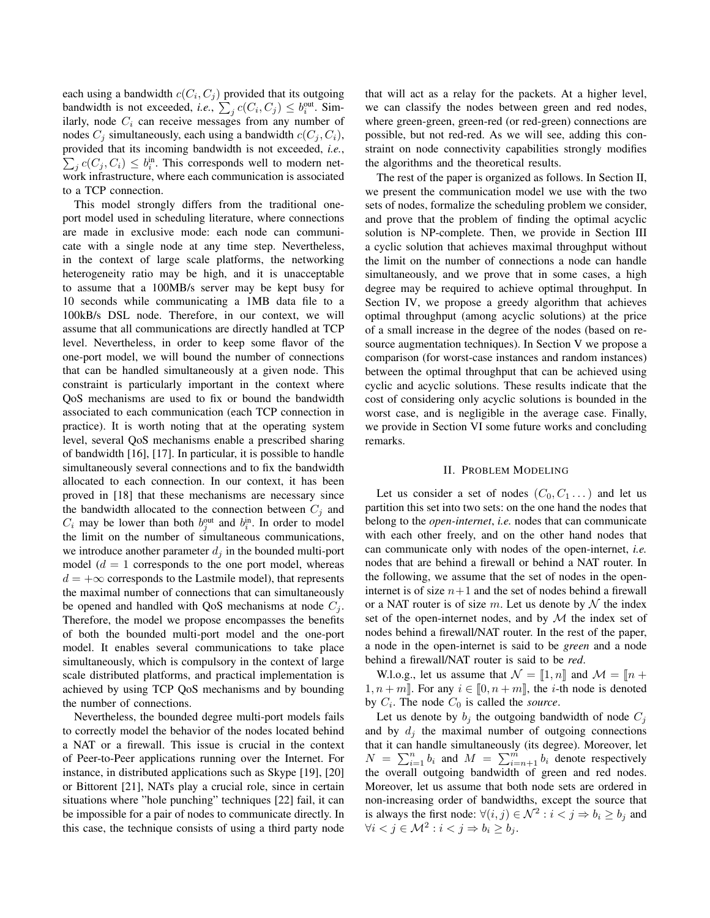each using a bandwidth  $c(C_i, C_j)$  provided that its outgoing bandwidth is not exceeded, *i.e.*,  $\sum_j c(C_i, C_j) \le b_i^{\text{out}}$ . Similarly, node  $C_i$  can receive messages from any number of nodes  $C_j$  simultaneously, each using a bandwidth  $c(C_j, C_i)$ ,  $\sum_j c(C_j, C_i) \le b_i^{\text{in}}$ . This corresponds well to modern netprovided that its incoming bandwidth is not exceeded, *i.e.*, work infrastructure, where each communication is associated to a TCP connection.

This model strongly differs from the traditional oneport model used in scheduling literature, where connections are made in exclusive mode: each node can communicate with a single node at any time step. Nevertheless, in the context of large scale platforms, the networking heterogeneity ratio may be high, and it is unacceptable to assume that a 100MB/s server may be kept busy for 10 seconds while communicating a 1MB data file to a 100kB/s DSL node. Therefore, in our context, we will assume that all communications are directly handled at TCP level. Nevertheless, in order to keep some flavor of the one-port model, we will bound the number of connections that can be handled simultaneously at a given node. This constraint is particularly important in the context where QoS mechanisms are used to fix or bound the bandwidth associated to each communication (each TCP connection in practice). It is worth noting that at the operating system level, several QoS mechanisms enable a prescribed sharing of bandwidth [16], [17]. In particular, it is possible to handle simultaneously several connections and to fix the bandwidth allocated to each connection. In our context, it has been proved in [18] that these mechanisms are necessary since the bandwidth allocated to the connection between  $C_j$  and  $C_i$  may be lower than both  $b_j^{\text{out}}$  and  $b_i^{\text{in}}$ . In order to model the limit on the number of simultaneous communications, we introduce another parameter  $d_i$  in the bounded multi-port model  $(d = 1$  corresponds to the one port model, whereas  $d = +\infty$  corresponds to the Lastmile model), that represents the maximal number of connections that can simultaneously be opened and handled with QoS mechanisms at node  $C_i$ . Therefore, the model we propose encompasses the benefits of both the bounded multi-port model and the one-port model. It enables several communications to take place simultaneously, which is compulsory in the context of large scale distributed platforms, and practical implementation is achieved by using TCP QoS mechanisms and by bounding the number of connections.

Nevertheless, the bounded degree multi-port models fails to correctly model the behavior of the nodes located behind a NAT or a firewall. This issue is crucial in the context of Peer-to-Peer applications running over the Internet. For instance, in distributed applications such as Skype [19], [20] or Bittorent [21], NATs play a crucial role, since in certain situations where "hole punching" techniques [22] fail, it can be impossible for a pair of nodes to communicate directly. In this case, the technique consists of using a third party node that will act as a relay for the packets. At a higher level, we can classify the nodes between green and red nodes, where green-green, green-red (or red-green) connections are possible, but not red-red. As we will see, adding this constraint on node connectivity capabilities strongly modifies the algorithms and the theoretical results.

The rest of the paper is organized as follows. In Section II, we present the communication model we use with the two sets of nodes, formalize the scheduling problem we consider, and prove that the problem of finding the optimal acyclic solution is NP-complete. Then, we provide in Section III a cyclic solution that achieves maximal throughput without the limit on the number of connections a node can handle simultaneously, and we prove that in some cases, a high degree may be required to achieve optimal throughput. In Section IV, we propose a greedy algorithm that achieves optimal throughput (among acyclic solutions) at the price of a small increase in the degree of the nodes (based on resource augmentation techniques). In Section V we propose a comparison (for worst-case instances and random instances) between the optimal throughput that can be achieved using cyclic and acyclic solutions. These results indicate that the cost of considering only acyclic solutions is bounded in the worst case, and is negligible in the average case. Finally, we provide in Section VI some future works and concluding remarks.

#### II. PROBLEM MODELING

Let us consider a set of nodes  $(C_0, C_1 \dots)$  and let us partition this set into two sets: on the one hand the nodes that belong to the *open-internet*, *i.e.* nodes that can communicate with each other freely, and on the other hand nodes that can communicate only with nodes of the open-internet, *i.e.* nodes that are behind a firewall or behind a NAT router. In the following, we assume that the set of nodes in the openinternet is of size  $n+1$  and the set of nodes behind a firewall or a NAT router is of size m. Let us denote by  $\mathcal N$  the index set of the open-internet nodes, and by  $M$  the index set of nodes behind a firewall/NAT router. In the rest of the paper, a node in the open-internet is said to be *green* and a node behind a firewall/NAT router is said to be *red*.

W.l.o.g., let us assume that  $\mathcal{N} = \llbracket 1, n \rrbracket$  and  $\mathcal{M} = \llbracket n + \rrbracket$  $1, n + m$ . For any  $i \in [0, n + m]$ , the *i*-th node is denoted by  $C_i$ . The node  $C_0$  is called the *source*.

Let us denote by  $b_j$  the outgoing bandwidth of node  $C_j$ and by  $d_i$  the maximal number of outgoing connections that it can handle simultaneously (its degree). Moreover, let  $N = \sum_{i=1}^{n} b_i$  and  $M = \sum_{i=n+1}^{m} b_i$  denote respectively the overall outgoing bandwidth of green and red nodes. Moreover, let us assume that both node sets are ordered in non-increasing order of bandwidths, except the source that is always the first node:  $\forall (i, j) \in \mathcal{N}^2 : i < j \Rightarrow b_i \ge b_j$  and  $\forall i < j \in \mathcal{M}^2 : i < j \Rightarrow b_i \ge b_j.$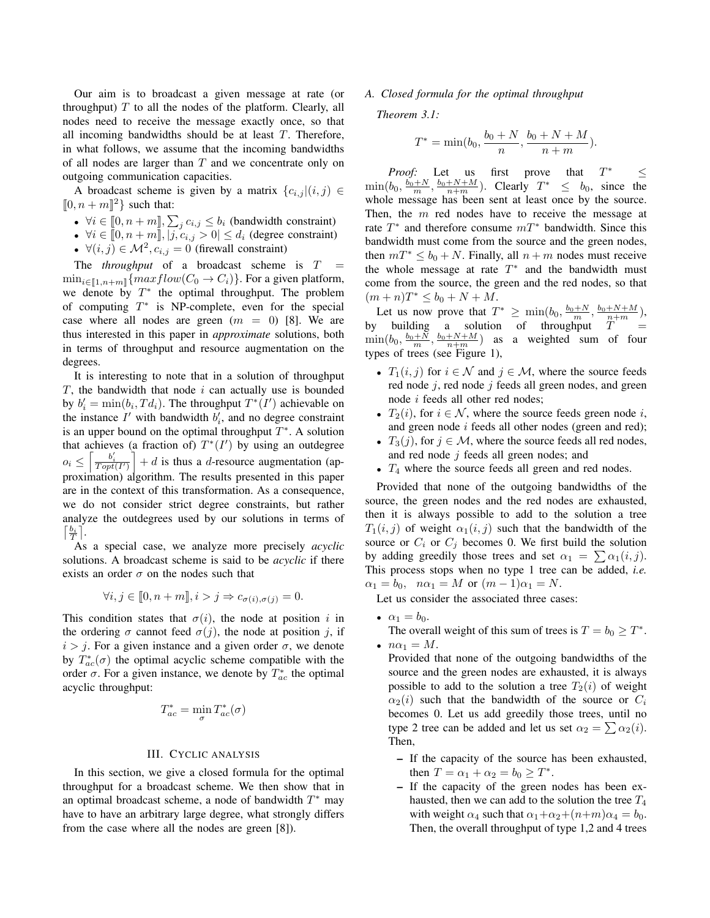Our aim is to broadcast a given message at rate (or throughput)  $T$  to all the nodes of the platform. Clearly, all nodes need to receive the message exactly once, so that all incoming bandwidths should be at least  $T$ . Therefore, in what follows, we assume that the incoming bandwidths of all nodes are larger than  $T$  and we concentrate only on outgoing communication capacities.

A broadcast scheme is given by a matrix  ${c_{i,j} |(i,j) \in \mathbb{R}}$  $[0, n+m]$ <sup>2</sup> such that:

- $\forall i \in [0, n+m]$ ,  $\sum_j c_{i,j} \leq b_i$  (bandwidth constraint)
- $\forall i \in [0, n+m], |j, c_{i,j} > 0| \le d_i$  (degree constraint)
- $\forall (i, j) \in \mathcal{M}^2$ ,  $c_{i,j} = 0$  (firewall constraint)

The *throughput* of a broadcast scheme is  $T =$  $\min_{i \in [\![1,n+m]\!]} \{maxflow(C_0 \to C_i)\}.$  For a given platform, we denote by  $T^*$  the optimal throughput. The problem of computing  $T^*$  is NP-complete, even for the special case where all nodes are green  $(m = 0)$  [8]. We are thus interested in this paper in *approximate* solutions, both in terms of throughput and resource augmentation on the degrees.

It is interesting to note that in a solution of throughput  $T$ , the bandwidth that node  $i$  can actually use is bounded by  $b'_i = \min(b_i, T d_i)$ . The throughput  $T^*(I')$  achievable on the instance  $I'$  with bandwidth  $b'_i$ , and no degree constraint is an upper bound on the optimal throughput  $T^*$ . A solution that achieves (a fraction of)  $T^*(I')$  by using an outdegree  $o_i \leq \left\lceil \frac{b'_i}{Topt(I')} \right\rceil + d$  is thus a d-resource augmentation (approximation) algorithm. The results presented in this paper are in the context of this transformation. As a consequence, we do not consider strict degree constraints, but rather analyze the outdegrees used by our solutions in terms of  $\lceil \frac{b_i}{T} \rceil$ .

As a special case, we analyze more precisely *acyclic* solutions. A broadcast scheme is said to be *acyclic* if there exists an order  $\sigma$  on the nodes such that

$$
\forall i, j \in [0, n+m], i > j \Rightarrow c_{\sigma(i), \sigma(j)} = 0.
$$

This condition states that  $\sigma(i)$ , the node at position i in the ordering  $\sigma$  cannot feed  $\sigma(j)$ , the node at position j, if  $i > j$ . For a given instance and a given order  $\sigma$ , we denote by  $T_{ac}^*(\sigma)$  the optimal acyclic scheme compatible with the order  $\sigma$ . For a given instance, we denote by  $T_{ac}^*$  the optimal acyclic throughput:

$$
T_{ac}^* = \min_{\sigma} T_{ac}^*(\sigma)
$$

#### III. CYCLIC ANALYSIS

In this section, we give a closed formula for the optimal throughput for a broadcast scheme. We then show that in an optimal broadcast scheme, a node of bandwidth  $T^*$  may have to have an arbitrary large degree, what strongly differs from the case where all the nodes are green [8]).

#### *A. Closed formula for the optimal throughput*

*Theorem 3.1:*

$$
T^* = \min(b_0, \frac{b_0 + N}{n}, \frac{b_0 + N + M}{n + m}).
$$

*Proof:* Let us first prove that  $T^* \leq$  $\min(b_0, \frac{b_0+N}{m}, \frac{b_0+N+M}{n+m})$ . Clearly  $T^* \leq b_0$ , since the whole message has been sent at least once by the source. Then, the m red nodes have to receive the message at rate  $T^*$  and therefore consume  $mT^*$  bandwidth. Since this bandwidth must come from the source and the green nodes, then  $mT^* \le b_0 + N$ . Finally, all  $n + m$  nodes must receive the whole message at rate  $T^*$  and the bandwidth must come from the source, the green and the red nodes, so that  $(m+n)T^* \leq b_0 + N + M.$ 

Let us now prove that  $T^* \ge \min(b_0, \frac{b_0+N}{m}, \frac{b_0+N+M}{n+m})$ , by building a solution of throughput  $T =$  $\min(b_0, \frac{b_0+N}{m}, \frac{b_0+N+M}{n+m})$  as a weighted sum of four types of trees (see Figure 1),

- $T_1(i, j)$  for  $i \in \mathcal{N}$  and  $j \in \mathcal{M}$ , where the source feeds red node  $j$ , red node  $j$  feeds all green nodes, and green node i feeds all other red nodes;
- $T_2(i)$ , for  $i \in \mathcal{N}$ , where the source feeds green node i, and green node i feeds all other nodes (green and red);
- $T_3(j)$ , for  $j \in \mathcal{M}$ , where the source feeds all red nodes, and red node j feeds all green nodes; and
- $T_4$  where the source feeds all green and red nodes.

Provided that none of the outgoing bandwidths of the source, the green nodes and the red nodes are exhausted, then it is always possible to add to the solution a tree  $T_1(i, j)$  of weight  $\alpha_1(i, j)$  such that the bandwidth of the source or  $C_i$  or  $C_j$  becomes 0. We first build the solution by adding greedily those trees and set  $\alpha_1 = \sum \alpha_1(i, j)$ . This process stops when no type 1 tree can be added, *i.e.*  $\alpha_1 = b_0$ ,  $n\alpha_1 = M$  or  $(m-1)\alpha_1 = N$ .

Let us consider the associated three cases:

•  $\alpha_1 = b_0$ .

The overall weight of this sum of trees is  $T = b_0 \geq T^*$ . •  $n\alpha_1 = M$ .

Provided that none of the outgoing bandwidths of the source and the green nodes are exhausted, it is always possible to add to the solution a tree  $T_2(i)$  of weight  $\alpha_2(i)$  such that the bandwidth of the source or  $C_i$ becomes 0. Let us add greedily those trees, until no type 2 tree can be added and let us set  $\alpha_2 = \sum \alpha_2(i)$ . Then,

- If the capacity of the source has been exhausted, then  $T = \alpha_1 + \alpha_2 = b_0 \ge T^*$ .
- If the capacity of the green nodes has been exhausted, then we can add to the solution the tree  $T_4$ with weight  $\alpha_4$  such that  $\alpha_1+\alpha_2+(n+m)\alpha_4 = b_0$ . Then, the overall throughput of type 1,2 and 4 trees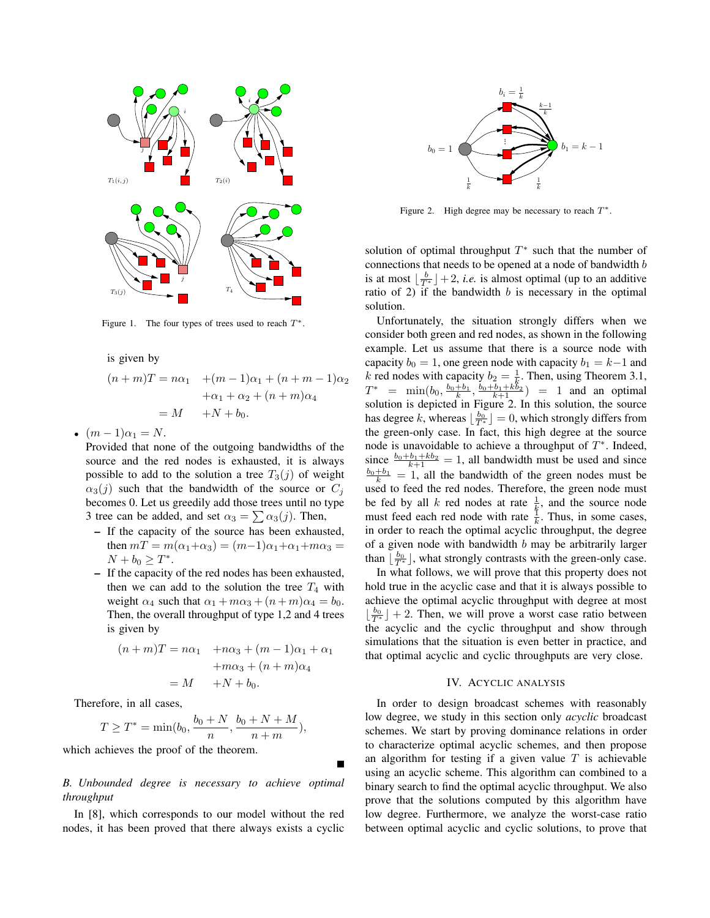

Figure 1. The four types of trees used to reach  $T^*$ .

is given by

$$
(n+m)T = n\alpha_1 + (m-1)\alpha_1 + (n+m-1)\alpha_2
$$

$$
+\alpha_1 + \alpha_2 + (n+m)\alpha_4
$$

$$
= M + N + b_0.
$$

•  $(m-1)\alpha_1 = N$ .

Provided that none of the outgoing bandwidths of the source and the red nodes is exhausted, it is always possible to add to the solution a tree  $T_3(j)$  of weight  $\alpha_3(j)$  such that the bandwidth of the source or  $C_j$ becomes 0. Let us greedily add those trees until no type 3 tree can be added, and set  $\alpha_3 = \sum \alpha_3(j)$ . Then,

- If the capacity of the source has been exhausted, then  $mT = m(\alpha_1 + \alpha_3) = (m-1)\alpha_1 + \alpha_1 + m\alpha_3 =$  $N + b_0 \ge T^*$ .
- If the capacity of the red nodes has been exhausted, then we can add to the solution the tree  $T_4$  with weight  $\alpha_4$  such that  $\alpha_1 + m\alpha_3 + (n+m)\alpha_4 = b_0$ . Then, the overall throughput of type 1,2 and 4 trees is given by

$$
(n+m)T = n\alpha_1 + n\alpha_3 + (m-1)\alpha_1 + \alpha_1
$$
  
+
$$
m\alpha_3 + (n+m)\alpha_4
$$
  
= 
$$
M + N + b_0.
$$

Therefore, in all cases,

$$
T \ge T^* = \min(b_0, \frac{b_0 + N}{n}, \frac{b_0 + N + M}{n + m}),
$$

which achieves the proof of the theorem.

# *B. Unbounded degree is necessary to achieve optimal throughput*

In [8], which corresponds to our model without the red nodes, it has been proved that there always exists a cyclic



Figure 2. High degree may be necessary to reach  $T^*$ .

solution of optimal throughput  $T^*$  such that the number of connections that needs to be opened at a node of bandwidth b is at most  $\lfloor \frac{b}{T^*} \rfloor + 2$ , *i.e.* is almost optimal (up to an additive ratio of 2) if the bandwidth  $b$  is necessary in the optimal solution.

Unfortunately, the situation strongly differs when we consider both green and red nodes, as shown in the following example. Let us assume that there is a source node with capacity  $b_0 = 1$ , one green node with capacity  $b_1 = k-1$  and k red nodes with capacity  $b_2 = \frac{1}{k}$ . Then, using Theorem 3.1,  $T^* = \min(b_0, \frac{b_0 + b_1}{k}, \frac{b_0 + b_1 + k b_2}{k+1}) = 1$  and an optimal solution is depicted in Figure 2. In this solution, the source has degree k, whereas  $\lfloor \frac{b_0}{T^*} \rfloor = 0$ , which strongly differs from the green-only case. In fact, this high degree at the source node is unavoidable to achieve a throughput of  $T^*$ . Indeed, since  $\frac{b_0 + b_1 + kb_2}{k+1} = 1$ , all bandwidth must be used and since  $\frac{b_0 + b_1}{k} = 1$ , all the bandwidth of the green nodes must be used to feed the red nodes. Therefore, the green node must be fed by all k red nodes at rate  $\frac{1}{k}$ , and the source node must feed each red node with rate  $\frac{1}{k}$ . Thus, in some cases, in order to reach the optimal acyclic throughput, the degree of a given node with bandwidth  $b$  may be arbitrarily larger than  $\lfloor \frac{b_0}{T^*} \rfloor$ , what strongly contrasts with the green-only case.

In what follows, we will prove that this property does not hold true in the acyclic case and that it is always possible to achieve the optimal acyclic throughput with degree at most  $\lfloor \frac{b_0}{T^*} \rfloor + 2$ . Then, we will prove a worst case ratio between the acyclic and the cyclic throughput and show through simulations that the situation is even better in practice, and that optimal acyclic and cyclic throughputs are very close.

# IV. ACYCLIC ANALYSIS

In order to design broadcast schemes with reasonably low degree, we study in this section only *acyclic* broadcast schemes. We start by proving dominance relations in order to characterize optimal acyclic schemes, and then propose an algorithm for testing if a given value  $T$  is achievable using an acyclic scheme. This algorithm can combined to a binary search to find the optimal acyclic throughput. We also prove that the solutions computed by this algorithm have low degree. Furthermore, we analyze the worst-case ratio between optimal acyclic and cyclic solutions, to prove that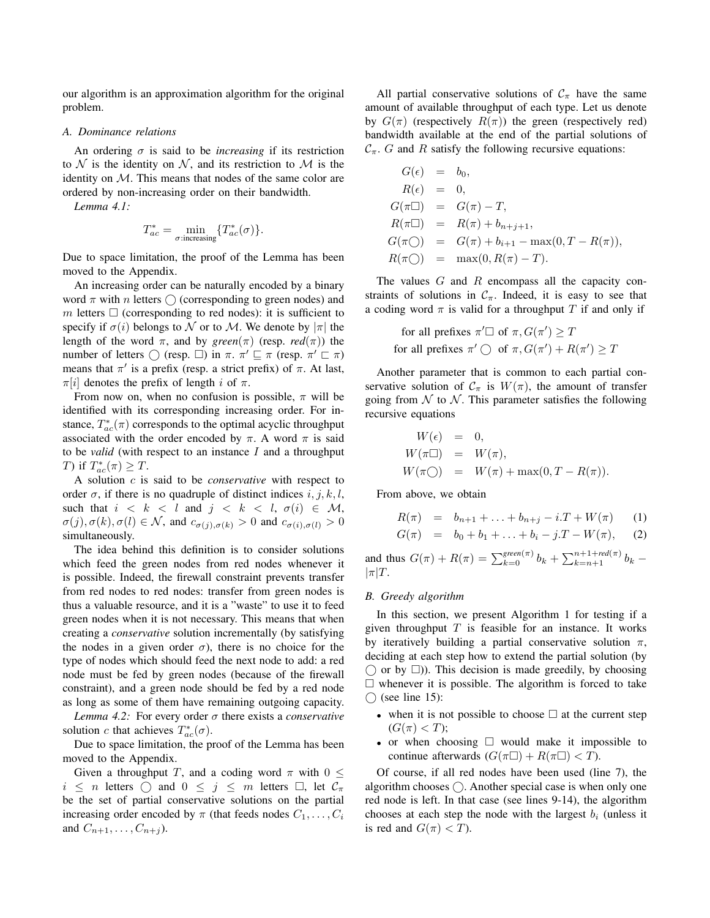our algorithm is an approximation algorithm for the original problem.

# *A. Dominance relations*

An ordering  $\sigma$  is said to be *increasing* if its restriction to  $N$  is the identity on  $N$ , and its restriction to  $M$  is the identity on M. This means that nodes of the same color are ordered by non-increasing order on their bandwidth.

*Lemma 4.1:*

$$
T_{ac}^* = \min_{\sigma: \text{increasing}} \{ T_{ac}^*(\sigma) \}.
$$

Due to space limitation, the proof of the Lemma has been moved to the Appendix.

An increasing order can be naturally encoded by a binary word  $\pi$  with n letters  $\bigcirc$  (corresponding to green nodes) and m letters  $\Box$  (corresponding to red nodes): it is sufficient to specify if  $\sigma(i)$  belongs to N or to M. We denote by  $|\pi|$  the length of the word  $\pi$ , and by *green*( $\pi$ ) (resp. *red*( $\pi$ )) the number of letters  $\bigcirc$  (resp.  $\square$ ) in  $\pi$ .  $\pi' \sqsubseteq \pi$  (resp.  $\pi' \sqsubset \pi$ ) means that  $\pi'$  is a prefix (resp. a strict prefix) of  $\pi$ . At last,  $\pi[i]$  denotes the prefix of length i of  $\pi$ .

From now on, when no confusion is possible,  $\pi$  will be identified with its corresponding increasing order. For instance,  $T_{ac}^*(\pi)$  corresponds to the optimal acyclic throughput associated with the order encoded by  $\pi$ . A word  $\pi$  is said to be *valid* (with respect to an instance I and a throughput T) if  $T_{ac}^*(\pi) \geq T$ .

A solution c is said to be *conservative* with respect to order  $\sigma$ , if there is no quadruple of distinct indices  $i, j, k, l$ , such that  $i < k < l$  and  $j < k < l$ ,  $\sigma(i) \in M$ ,  $\sigma(j), \sigma(k), \sigma(l) \in \mathcal{N}$ , and  $c_{\sigma(j), \sigma(k)} > 0$  and  $c_{\sigma(i), \sigma(l)} > 0$ simultaneously.

The idea behind this definition is to consider solutions which feed the green nodes from red nodes whenever it is possible. Indeed, the firewall constraint prevents transfer from red nodes to red nodes: transfer from green nodes is thus a valuable resource, and it is a "waste" to use it to feed green nodes when it is not necessary. This means that when creating a *conservative* solution incrementally (by satisfying the nodes in a given order  $\sigma$ ), there is no choice for the type of nodes which should feed the next node to add: a red node must be fed by green nodes (because of the firewall constraint), and a green node should be fed by a red node as long as some of them have remaining outgoing capacity.

*Lemma 4.2:* For every order σ there exists a *conservative* solution c that achieves  $T_{ac}^*(\sigma)$ .

Due to space limitation, the proof of the Lemma has been moved to the Appendix.

Given a throughput T, and a coding word  $\pi$  with  $0 \leq$  $i \leq n$  letters  $\bigcirc$  and  $0 \leq j \leq m$  letters  $\Box$ , let  $\mathcal{C}_{\pi}$ be the set of partial conservative solutions on the partial increasing order encoded by  $\pi$  (that feeds nodes  $C_1, \ldots, C_i$ and  $C_{n+1}, \ldots, C_{n+j}$ ).

All partial conservative solutions of  $C_{\pi}$  have the same amount of available throughput of each type. Let us denote by  $G(\pi)$  (respectively  $R(\pi)$ ) the green (respectively red) bandwidth available at the end of the partial solutions of  $C_{\pi}$ . G and R satisfy the following recursive equations:

$$
G(\epsilon) = b_0,
$$
  
\n
$$
R(\epsilon) = 0,
$$
  
\n
$$
G(\pi \Box) = G(\pi) - T,
$$
  
\n
$$
R(\pi \Box) = R(\pi) + b_{n+j+1},
$$
  
\n
$$
G(\pi \bigcirc) = G(\pi) + b_{i+1} - \max(0, T - R(\pi)),
$$
  
\n
$$
R(\pi \bigcirc) = \max(0, R(\pi) - T).
$$

The values  $G$  and  $R$  encompass all the capacity constraints of solutions in  $\mathcal{C}_{\pi}$ . Indeed, it is easy to see that a coding word  $\pi$  is valid for a throughput T if and only if

for all prefixes 
$$
\pi' \square
$$
 of  $\pi$ ,  $G(\pi') \geq T$   
for all prefixes  $\pi' \bigcirc$  of  $\pi$ ,  $G(\pi') + R(\pi') \geq T$ 

Another parameter that is common to each partial conservative solution of  $C_{\pi}$  is  $W(\pi)$ , the amount of transfer going from  $\mathcal N$  to  $\mathcal N$ . This parameter satisfies the following recursive equations

$$
W(\epsilon) = 0,
$$
  
\n
$$
W(\pi \Box) = W(\pi),
$$
  
\n
$$
W(\pi \bigcirc) = W(\pi) + \max(0, T - R(\pi)).
$$

From above, we obtain

$$
R(\pi) = b_{n+1} + \ldots + b_{n+j} - i \cdot T + W(\pi) \tag{1}
$$

$$
G(\pi) = b_0 + b_1 + \ldots + b_i - j \cdot T - W(\pi), \quad (2)
$$

and thus  $G(\pi) + R(\pi) = \sum_{k=0}^{green(\pi)} b_k + \sum_{k=n+1}^{n+1+red(\pi)} b_k$  –  $|\pi|T$ .

#### *B. Greedy algorithm*

In this section, we present Algorithm 1 for testing if a given throughput  $T$  is feasible for an instance. It works by iteratively building a partial conservative solution  $\pi$ , deciding at each step how to extend the partial solution (by  $\cap$  or by  $\square$ ). This decision is made greedily, by choosing  $\Box$  whenever it is possible. The algorithm is forced to take  $\bigcirc$  (see line 15):

- when it is not possible to choose  $\Box$  at the current step  $(G(\pi) < T);$
- or when choosing  $\Box$  would make it impossible to continue afterwards  $(G(\pi \Box) + R(\pi \Box) < T)$ .

Of course, if all red nodes have been used (line 7), the algorithm chooses  $\bigcap$ . Another special case is when only one red node is left. In that case (see lines 9-14), the algorithm chooses at each step the node with the largest  $b_i$  (unless it is red and  $G(\pi) < T$ ).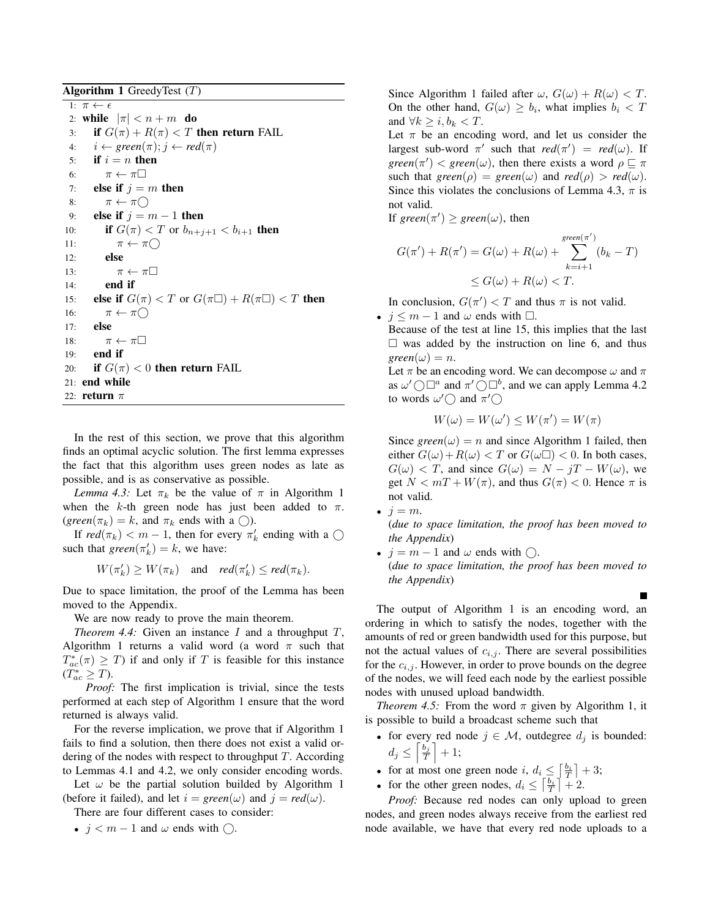Algorithm 1 GreedyTest  $(T)$ 

1:  $\pi \leftarrow \epsilon$ 2: while  $|\pi| < n + m$  do<br>3: if  $G(\pi) + R(\pi) < T$ if  $G(\pi) + R(\pi) < T$  then return FAIL 4:  $i \leftarrow green(\pi); j \leftarrow red(\pi)$ <br>5: **if**  $i = n$  **then** if  $i = n$  then 6:  $\pi \leftarrow \pi \Box$ <br>7: **else if**  $i =$ else if  $j = m$  then 8:  $\pi \leftarrow \pi$   $\bigcirc$ <br>9: **else if**  $i = n$ 9: **else if**  $j = m - 1$  then<br>10: **if**  $G(\pi) < T$  or  $b_{n+i}$ **if**  $G(\pi) < T$  or  $b_{n+j+1} < b_{i+1}$  **then** 11:  $\pi \leftarrow \pi \bigcirc$ <br>12: **else** else 13:  $\pi \leftarrow \pi$ <br>
14: **end if** end if 15: **else if**  $G(\pi) < T$  or  $G(\pi \Box) + R(\pi \Box) < T$  then 16:  $\pi \leftarrow \pi \bigcirc$ <br>17: **else** else 18:  $\pi \leftarrow \pi \square$ <br>19: **end if** end if 20: **if**  $G(\pi) < 0$  then return FAIL 21: end while 22: return  $\pi$ 

In the rest of this section, we prove that this algorithm finds an optimal acyclic solution. The first lemma expresses the fact that this algorithm uses green nodes as late as possible, and is as conservative as possible.

*Lemma 4.3:* Let  $\pi_k$  be the value of  $\pi$  in Algorithm 1 when the k-th green node has just been added to  $\pi$ .  $(green(\pi_k) = k$ , and  $\pi_k$  ends with a ()).

If  $red(\pi_k) < m - 1$ , then for every  $\pi'_k$  ending with a  $\bigcirc$ such that  $green(\pi_k') = k$ , we have:

 $W(\pi'_k) \ge W(\pi_k)$  and  $red(\pi'_k) \le red(\pi_k)$ .

Due to space limitation, the proof of the Lemma has been moved to the Appendix.

We are now ready to prove the main theorem.

*Theorem 4.4:* Given an instance I and a throughput T, Algorithm 1 returns a valid word (a word  $\pi$  such that  $T_{ac}^*(\pi) \geq T$ ) if and only if T is feasible for this instance  $(T_{ac}^* \geq T).$ 

*Proof:* The first implication is trivial, since the tests performed at each step of Algorithm 1 ensure that the word returned is always valid.

For the reverse implication, we prove that if Algorithm 1 fails to find a solution, then there does not exist a valid ordering of the nodes with respect to throughput  $T$ . According to Lemmas 4.1 and 4.2, we only consider encoding words.

Let  $\omega$  be the partial solution builded by Algorithm 1 (before it failed), and let  $i = green(\omega)$  and  $j = red(\omega)$ .

There are four different cases to consider:

•  $j < m - 1$  and  $\omega$  ends with  $\bigcirc$ .

Since Algorithm 1 failed after  $\omega$ ,  $G(\omega) + R(\omega) < T$ . On the other hand,  $G(\omega) \ge b_i$ , what implies  $b_i < T$ and  $\forall k \geq i, b_k < T$ .

Let  $\pi$  be an encoding word, and let us consider the largest sub-word  $\pi'$  such that  $red(\pi') = red(\omega)$ . If *green*( $\pi'$ ) < *green*( $\omega$ ), then there exists a word  $\rho \sqsubseteq \pi$ such that  $green(\rho) = green(\omega)$  and  $red(\rho) > red(\omega)$ . Since this violates the conclusions of Lemma 4.3,  $\pi$  is not valid.

If  $green(\pi') \geq green(\omega)$ , then

$$
G(\pi') + R(\pi') = G(\omega) + R(\omega) + \sum_{k=i+1}^{green(\pi')} (b_k - T)
$$
  
 
$$
\leq G(\omega) + R(\omega) < T.
$$

In conclusion,  $G(\pi') < T$  and thus  $\pi$  is not valid.

•  $j \leq m - 1$  and  $\omega$  ends with  $\Box$ .

Because of the test at line 15, this implies that the last  $\Box$  was added by the instruction on line 6, and thus  $green(\omega) = n$ .

Let  $\pi$  be an encoding word. We can decompose  $\omega$  and  $\pi$ as  $\omega' \bigcirc \Box^a$  and  $\pi' \bigcirc \Box^b$ , and we can apply Lemma 4.2 to words  $\omega' \bigcirc$  and  $\pi' \bigcirc$ 

$$
W(\omega) = W(\omega') \le W(\pi') = W(\pi)
$$

Since  $green(\omega) = n$  and since Algorithm 1 failed, then either  $G(\omega)+R(\omega) < T$  or  $G(\omega \square) < 0$ . In both cases,  $G(\omega) < T$ , and since  $G(\omega) = N - jT - W(\omega)$ , we get  $N < mT + W(\pi)$ , and thus  $G(\pi) < 0$ . Hence  $\pi$  is not valid.

•  $j = m$ .

(*due to space limitation, the proof has been moved to the Appendix*)

•  $j = m - 1$  and  $\omega$  ends with  $\bigcap$ . (*due to space limitation, the proof has been moved to the Appendix*)

The output of Algorithm 1 is an encoding word, an ordering in which to satisfy the nodes, together with the amounts of red or green bandwidth used for this purpose, but not the actual values of  $c_{i,j}$ . There are several possibilities for the  $c_{i,j}$ . However, in order to prove bounds on the degree of the nodes, we will feed each node by the earliest possible nodes with unused upload bandwidth.

*Theorem 4.5:* From the word  $\pi$  given by Algorithm 1, it is possible to build a broadcast scheme such that

- for every red node  $j \in \mathcal{M}$ , outdegree  $d_j$  is bounded:  $d_j \leq \left\lceil \frac{b_j}{T} \right\rceil + 1;$
- for at most one green node i,  $d_i \leq \left\lceil \frac{b_i}{T} \right\rceil + 3;$
- for the other green nodes,  $d_i \leq \left\lceil \frac{b_i}{T} \right\rceil + 2$ .

*Proof:* Because red nodes can only upload to green nodes, and green nodes always receive from the earliest red node available, we have that every red node uploads to a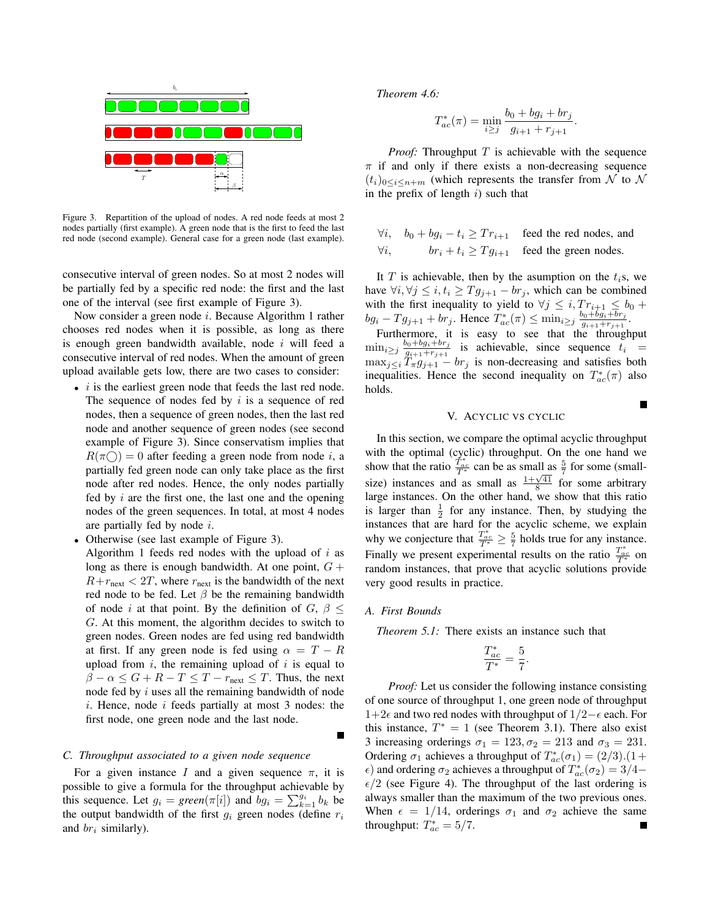

Figure 3. Repartition of the upload of nodes. A red node feeds at most 2 nodes partially (first example). A green node that is the first to feed the last red node (second example). General case for a green node (last example).

consecutive interval of green nodes. So at most 2 nodes will be partially fed by a specific red node: the first and the last one of the interval (see first example of Figure 3).

Now consider a green node i. Because Algorithm 1 rather chooses red nodes when it is possible, as long as there is enough green bandwidth available, node  $i$  will feed a consecutive interval of red nodes. When the amount of green upload available gets low, there are two cases to consider:

- $\bullet$  *i* is the earliest green node that feeds the last red node. The sequence of nodes fed by  $i$  is a sequence of red nodes, then a sequence of green nodes, then the last red node and another sequence of green nodes (see second example of Figure 3). Since conservatism implies that  $R(\pi \cap) = 0$  after feeding a green node from node i, a partially fed green node can only take place as the first node after red nodes. Hence, the only nodes partially fed by  $i$  are the first one, the last one and the opening nodes of the green sequences. In total, at most 4 nodes are partially fed by node i.
- Otherwise (see last example of Figure 3). Algorithm 1 feeds red nodes with the upload of  $i$  as long as there is enough bandwidth. At one point,  $G +$  $R+r_{\text{next}} < 2T$ , where  $r_{\text{next}}$  is the bandwidth of the next red node to be fed. Let  $\beta$  be the remaining bandwidth of node i at that point. By the definition of  $G, \beta \leq$ G. At this moment, the algorithm decides to switch to green nodes. Green nodes are fed using red bandwidth at first. If any green node is fed using  $\alpha = T - R$ upload from  $i$ , the remaining upload of  $i$  is equal to  $\beta - \alpha \leq G + R - T \leq T - r_{\text{next}} \leq T$ . Thus, the next node fed by  $i$  uses all the remaining bandwidth of node  $i.$  Hence, node  $i$  feeds partially at most 3 nodes: the first node, one green node and the last node.

# *C. Throughput associated to a given node sequence*

For a given instance I and a given sequence  $\pi$ , it is possible to give a formula for the throughput achievable by this sequence. Let  $g_i = \text{green}(\pi[i])$  and  $bg_i = \sum_{k=1}^{g_i} b_k$  be the output bandwidth of the first  $g_i$  green nodes (define  $r_i$ and  $br_i$  similarly).

*Theorem 4.6:*

$$
T_{ac}^*(\pi) = \min_{i \ge j} \frac{b_0 + bg_i + br_j}{g_{i+1} + r_{j+1}}.
$$

*Proof:* Throughput  $T$  is achievable with the sequence  $\pi$  if and only if there exists a non-decreasing sequence  $(t_i)_{0\leq i\leq n+m}$  (which represents the transfer from N to N in the prefix of length  $i$ ) such that

 $\forall i, \quad b_0 + bg_i - t_i \geq Tr_{i+1}$  feed the red nodes, and  $\forall i, \quad br_i + t_i > T q_{i+1} \quad \text{feed the green nodes.}$ 

It  $T$  is achievable, then by the asumption on the  $t_i$ s, we have  $\forall i, \forall j \leq i, t_i \geq T g_{j+1} - b r_j$ , which can be combined with the first inequality to yield to  $\forall j \leq i, Tr_{i+1} \leq b_0 +$  $bg_i - Tg_{j+1} + br_j$ . Hence  $T_{ac}^*(\pi) \le \min_{i \ge j} \frac{b_0 + b g_i + br_j}{g_{i+1} + r_{j+1}}$  $\frac{y_0+og_i+or_j}{g_{i+1}+r_{j+1}}$ .

Furthermore, it is easy to see that the throughput  $\min_{i \geq j} \frac{b_0 + bg_i + br_j}{g_{i+1} + r_{j+1}}$  $\frac{a_0 + b_0 i + b r_j}{a_{i+1} + r_{j+1}}$  is achievable, since sequence  $t_i$  =  $\max_{j\leq i} T_{\pi}g_{j+1} - br_j$  is non-decreasing and satisfies both inequalities. Hence the second inequality on  $T_{ac}^*(\pi)$  also holds.

## V. ACYCLIC VS CYCLIC

In this section, we compare the optimal acyclic throughput with the optimal (cyclic) throughput. On the one hand we show that the ratio  $\frac{T_{ac}^*}{T^*}$  can be as small as  $\frac{5}{7}$  for some (smallsize) instances and as small as  $\frac{1+\sqrt{41}}{8}$  for some arbitrary large instances. On the other hand, we show that this ratio is larger than  $\frac{1}{2}$  for any instance. Then, by studying the instances that are hard for the acyclic scheme, we explain why we conjecture that  $\frac{T_{ac}^*}{T^*} \geq \frac{5}{7}$  holds true for any instance. Finally we present experimental results on the ratio  $\frac{T_{ac}^*}{T^*}$  on random instances, that prove that acyclic solutions provide very good results in practice.

#### *A. First Bounds*

*Theorem 5.1:* There exists an instance such that

$$
\frac{T_{ac}^*}{T^*} = \frac{5}{7}.
$$

*Proof:* Let us consider the following instance consisting of one source of throughput 1, one green node of throughput 1+2 $\epsilon$  and two red nodes with throughput of 1/2− $\epsilon$  each. For this instance,  $T^* = 1$  (see Theorem 3.1). There also exist 3 increasing orderings  $\sigma_1 = 123, \sigma_2 = 213$  and  $\sigma_3 = 231$ . Ordering  $\sigma_1$  achieves a throughput of  $T_{ac}^*(\sigma_1) = (2/3).(1 + \sigma_1)$  $\epsilon$ ) and ordering  $\sigma_2$  achieves a throughput of  $T_{ac}^*(\sigma_2) = 3/4 \epsilon/2$  (see Figure 4). The throughput of the last ordering is always smaller than the maximum of the two previous ones. When  $\epsilon = 1/14$ , orderings  $\sigma_1$  and  $\sigma_2$  achieve the same throughput:  $T_{ac}^* = 5/7$ .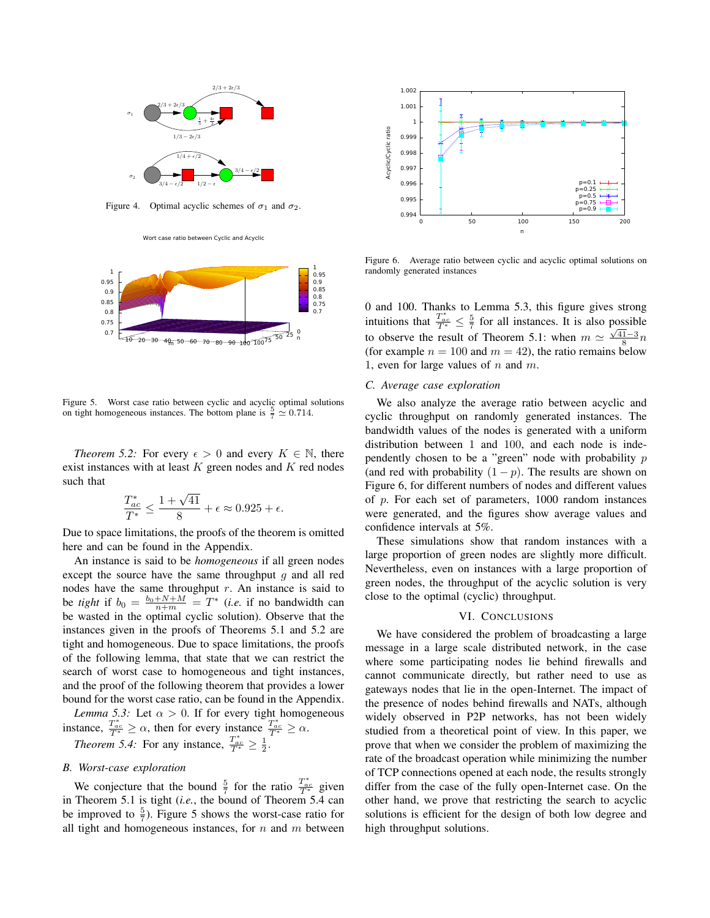

Figure 4. Optimal acyclic schemes of  $\sigma_1$  and  $\sigma_2$ .





Figure 5. Worst case ratio between cyclic and acyclic optimal solutions on tight homogeneous instances. The bottom plane is  $\frac{5}{7} \approx 0.714$ .

*Theorem 5.2:* For every  $\epsilon > 0$  and every  $K \in \mathbb{N}$ , there exist instances with at least  $K$  green nodes and  $K$  red nodes such that

$$
\frac{T_{ac}^*}{T^*} \le \frac{1+\sqrt{41}}{8} + \epsilon \approx 0.925 + \epsilon.
$$

Due to space limitations, the proofs of the theorem is omitted here and can be found in the Appendix.

An instance is said to be *homogeneous* if all green nodes except the source have the same throughput  $q$  and all red nodes have the same throughput  $r$ . An instance is said to be *tight* if  $b_0 = \frac{b_0 + N + M}{n+m} = T^*$  (*i.e.* if no bandwidth can be wasted in the optimal cyclic solution). Observe that the instances given in the proofs of Theorems 5.1 and 5.2 are tight and homogeneous. Due to space limitations, the proofs of the following lemma, that state that we can restrict the search of worst case to homogeneous and tight instances, and the proof of the following theorem that provides a lower bound for the worst case ratio, can be found in the Appendix.

*Lemma 5.3:* Let  $\alpha > 0$ . If for every tight homogeneous instance,  $\frac{T_{ac}}{T^*} \ge \alpha$ , then for every instance  $\frac{T_{ac}}{T^*} \ge \alpha$ . *Theorem 5.4:* For any instance,  $\frac{T_{ac}^*}{T^*} \ge \frac{1}{2}$ .

#### *B. Worst-case exploration*

We conjecture that the bound  $\frac{5}{7}$  for the ratio  $\frac{T_{ac}^*}{T^*}$  given in Theorem 5.1 is tight (*i.e.*, the bound of Theorem 5.4 can be improved to  $\frac{5}{7}$ ). Figure 5 shows the worst-case ratio for all tight and homogeneous instances, for  $n$  and  $m$  between



Figure 6. Average ratio between cyclic and acyclic optimal solutions on randomly generated instances

0 and 100. Thanks to Lemma 5.3, this figure gives strong intuitions that  $\frac{T_{ac}^*}{T^*} \leq \frac{5}{7}$  for all instances. It is also possible to observe the result of Theorem 5.1: when  $m \simeq \frac{\sqrt{41}-3}{8}n$ (for example  $n = 100$  and  $m = 42$ ), the ratio remains below 1, even for large values of  $n$  and  $m$ .

# *C. Average case exploration*

We also analyze the average ratio between acyclic and cyclic throughput on randomly generated instances. The bandwidth values of the nodes is generated with a uniform distribution between 1 and 100, and each node is independently chosen to be a "green" node with probability  $p$ (and red with probability  $(1 - p)$ ). The results are shown on Figure 6, for different numbers of nodes and different values of p. For each set of parameters, 1000 random instances were generated, and the figures show average values and confidence intervals at 5%.

These simulations show that random instances with a large proportion of green nodes are slightly more difficult. Nevertheless, even on instances with a large proportion of green nodes, the throughput of the acyclic solution is very close to the optimal (cyclic) throughput.

## VI. CONCLUSIONS

We have considered the problem of broadcasting a large message in a large scale distributed network, in the case where some participating nodes lie behind firewalls and cannot communicate directly, but rather need to use as gateways nodes that lie in the open-Internet. The impact of the presence of nodes behind firewalls and NATs, although widely observed in P2P networks, has not been widely studied from a theoretical point of view. In this paper, we prove that when we consider the problem of maximizing the rate of the broadcast operation while minimizing the number of TCP connections opened at each node, the results strongly differ from the case of the fully open-Internet case. On the other hand, we prove that restricting the search to acyclic solutions is efficient for the design of both low degree and high throughput solutions.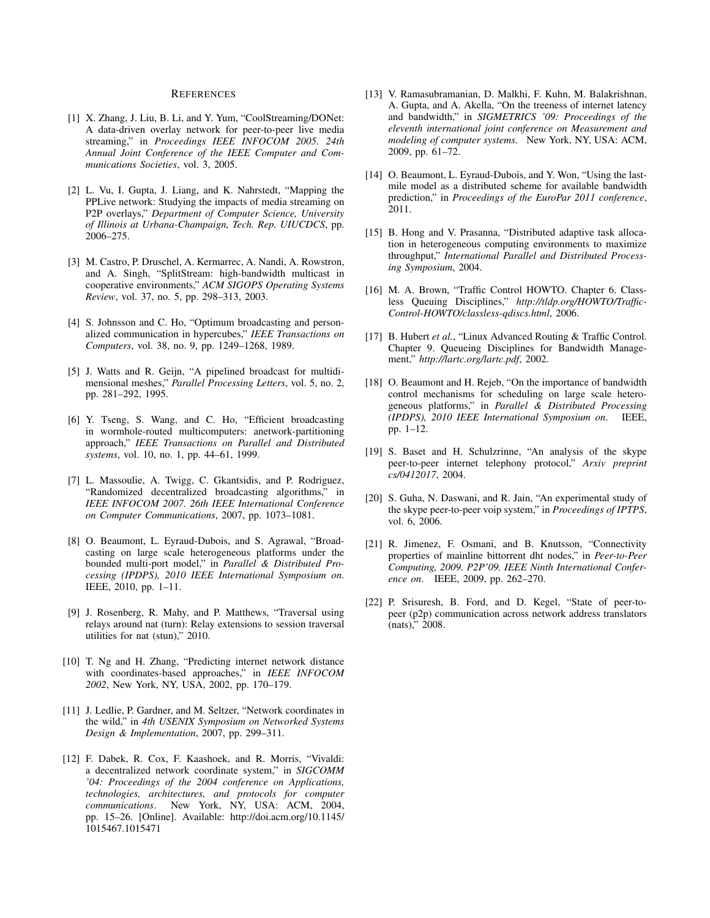#### **REFERENCES**

- [1] X. Zhang, J. Liu, B. Li, and Y. Yum, "CoolStreaming/DONet: A data-driven overlay network for peer-to-peer live media streaming," in *Proceedings IEEE INFOCOM 2005. 24th Annual Joint Conference of the IEEE Computer and Communications Societies*, vol. 3, 2005.
- [2] L. Vu, I. Gupta, J. Liang, and K. Nahrstedt, "Mapping the PPLive network: Studying the impacts of media streaming on P2P overlays," *Department of Computer Science, University of Illinois at Urbana-Champaign, Tech. Rep. UIUCDCS*, pp. 2006–275.
- [3] M. Castro, P. Druschel, A. Kermarrec, A. Nandi, A. Rowstron, and A. Singh, "SplitStream: high-bandwidth multicast in cooperative environments," *ACM SIGOPS Operating Systems Review*, vol. 37, no. 5, pp. 298–313, 2003.
- [4] S. Johnsson and C. Ho, "Optimum broadcasting and personalized communication in hypercubes," *IEEE Transactions on Computers*, vol. 38, no. 9, pp. 1249–1268, 1989.
- [5] J. Watts and R. Geijn, "A pipelined broadcast for multidimensional meshes," *Parallel Processing Letters*, vol. 5, no. 2, pp. 281–292, 1995.
- [6] Y. Tseng, S. Wang, and C. Ho, "Efficient broadcasting in wormhole-routed multicomputers: anetwork-partitioning approach," *IEEE Transactions on Parallel and Distributed systems*, vol. 10, no. 1, pp. 44–61, 1999.
- [7] L. Massoulie, A. Twigg, C. Gkantsidis, and P. Rodriguez, "Randomized decentralized broadcasting algorithms," in *IEEE INFOCOM 2007. 26th IEEE International Conference on Computer Communications*, 2007, pp. 1073–1081.
- [8] O. Beaumont, L. Eyraud-Dubois, and S. Agrawal, "Broadcasting on large scale heterogeneous platforms under the bounded multi-port model," in *Parallel & Distributed Processing (IPDPS), 2010 IEEE International Symposium on*. IEEE, 2010, pp. 1–11.
- [9] J. Rosenberg, R. Mahy, and P. Matthews, "Traversal using relays around nat (turn): Relay extensions to session traversal utilities for nat (stun)," 2010.
- [10] T. Ng and H. Zhang, "Predicting internet network distance with coordinates-based approaches," in *IEEE INFOCOM 2002*, New York, NY, USA, 2002, pp. 170–179.
- [11] J. Ledlie, P. Gardner, and M. Seltzer, "Network coordinates in the wild," in *4th USENIX Symposium on Networked Systems Design & Implementation*, 2007, pp. 299–311.
- [12] F. Dabek, R. Cox, F. Kaashoek, and R. Morris, "Vivaldi: a decentralized network coordinate system," in *SIGCOMM '04: Proceedings of the 2004 conference on Applications, technologies, architectures, and protocols for computer communications*. New York, NY, USA: ACM, 2004, pp. 15–26. [Online]. Available: http://doi.acm.org/10.1145/ 1015467.1015471
- [13] V. Ramasubramanian, D. Malkhi, F. Kuhn, M. Balakrishnan, A. Gupta, and A. Akella, "On the treeness of internet latency and bandwidth," in *SIGMETRICS '09: Proceedings of the eleventh international joint conference on Measurement and modeling of computer systems*. New York, NY, USA: ACM, 2009, pp. 61–72.
- [14] O. Beaumont, L. Eyraud-Dubois, and Y. Won, "Using the lastmile model as a distributed scheme for available bandwidth prediction," in *Proceedings of the EuroPar 2011 conference*, 2011.
- [15] B. Hong and V. Prasanna, "Distributed adaptive task allocation in heterogeneous computing environments to maximize throughput," *International Parallel and Distributed Processing Symposium*, 2004.
- [16] M. A. Brown, "Traffic Control HOWTO. Chapter 6. Classless Queuing Disciplines," *http://tldp.org/HOWTO/Traffic-Control-HOWTO/classless-qdiscs.html*, 2006.
- [17] B. Hubert *et al.*, "Linux Advanced Routing & Traffic Control. Chapter 9. Queueing Disciplines for Bandwidth Management," *http://lartc.org/lartc.pdf*, 2002.
- [18] O. Beaumont and H. Rejeb, "On the importance of bandwidth" control mechanisms for scheduling on large scale heterogeneous platforms," in *Parallel & Distributed Processing (IPDPS), 2010 IEEE International Symposium on*. IEEE, pp. 1–12.
- [19] S. Baset and H. Schulzrinne, "An analysis of the skype peer-to-peer internet telephony protocol," *Arxiv preprint cs/0412017*, 2004.
- [20] S. Guha, N. Daswani, and R. Jain, "An experimental study of the skype peer-to-peer voip system," in *Proceedings of IPTPS*, vol. 6, 2006.
- [21] R. Jimenez, F. Osmani, and B. Knutsson, "Connectivity properties of mainline bittorrent dht nodes," in *Peer-to-Peer Computing, 2009. P2P'09. IEEE Ninth International Conference on*. IEEE, 2009, pp. 262–270.
- [22] P. Srisuresh, B. Ford, and D. Kegel, "State of peer-topeer (p2p) communication across network address translators (nats)," 2008.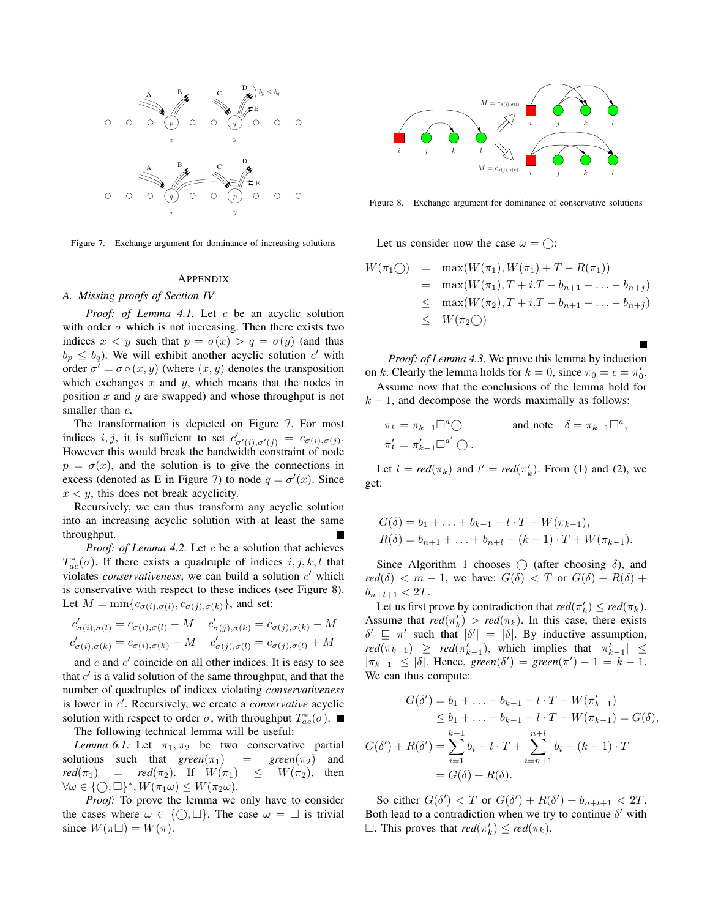

Figure 7. Exchange argument for dominance of increasing solutions

#### APPENDIX

#### *A. Missing proofs of Section IV*

*Proof: of Lemma 4.1.* Let c be an acyclic solution with order  $\sigma$  which is not increasing. Then there exists two indices  $x < y$  such that  $p = \sigma(x) > q = \sigma(y)$  (and thus  $b_p \leq b_q$ ). We will exhibit another acyclic solution c' with order  $\sigma' = \sigma \circ (x, y)$  (where  $(x, y)$  denotes the transposition which exchanges  $x$  and  $y$ , which means that the nodes in position  $x$  and  $y$  are swapped) and whose throughput is not smaller than  $c$ .

The transformation is depicted on Figure 7. For most indices i, j, it is sufficient to set  $c'_{\sigma'(i), \sigma'(j)} = c_{\sigma(i), \sigma(j)}$ . However this would break the bandwidth constraint of node  $p = \sigma(x)$ , and the solution is to give the connections in excess (denoted as E in Figure 7) to node  $q = \sigma'(x)$ . Since  $x < y$ , this does not break acyclicity.

Recursively, we can thus transform any acyclic solution into an increasing acyclic solution with at least the same throughput.

*Proof: of Lemma 4.2.* Let c be a solution that achieves  $T_{ac}^{*}(\sigma)$ . If there exists a quadruple of indices  $i, j, k, l$  that violates *conservativeness*, we can build a solution  $c'$  which is conservative with respect to these indices (see Figure 8). Let  $M = \min\{c_{\sigma(i), \sigma(l)}, c_{\sigma(j), \sigma(k)}\}$ , and set:

$$
c'_{\sigma(i),\sigma(l)} = c_{\sigma(i),\sigma(l)} - M \t c'_{\sigma(j),\sigma(k)} = c_{\sigma(j),\sigma(k)} - M
$$
  

$$
c'_{\sigma(i),\sigma(k)} = c_{\sigma(i),\sigma(k)} + M \t c'_{\sigma(j),\sigma(l)} = c_{\sigma(j),\sigma(l)} + M
$$

and  $c$  and  $c'$  coincide on all other indices. It is easy to see that  $c'$  is a valid solution of the same throughput, and that the number of quadruples of indices violating *conservativeness* is lower in c ′ . Recursively, we create a *conservative* acyclic solution with respect to order  $\sigma$ , with throughput  $T_{ac}^*(\sigma)$ .

The following technical lemma will be useful:

*Lemma 6.1:* Let  $\pi_1, \pi_2$  be two conservative partial solutions such that  $green(\pi_1)$  =  $green(\pi_2)$  and  $\text{red}(\pi_1)$  =  $\text{red}(\pi_2)$ . If  $W(\pi_1) \leq W(\pi_2)$ , then  $\forall \omega \in \{\bigcirc, \Box\}^*, W(\pi_1 \omega) \leq W(\pi_2 \omega).$ 

*Proof:* To prove the lemma we only have to consider the cases where  $\omega \in \{\bigcirc, \Box\}$ . The case  $\omega = \Box$  is trivial since  $W(\pi \Box) = W(\pi)$ .



Figure 8. Exchange argument for dominance of conservative solutions

Let us consider now the case  $\omega = \bigcap$ :

$$
W(\pi_1 \bigcirc) = \max(W(\pi_1), W(\pi_1) + T - R(\pi_1))
$$
  
=  $\max(W(\pi_1), T + i \cdot T - b_{n+1} - \dots - b_{n+j})$   
 $\leq \max(W(\pi_2), T + i \cdot T - b_{n+1} - \dots - b_{n+j})$   
 $\leq W(\pi_2 \bigcirc)$ 

*Proof: of Lemma 4.3.* We prove this lemma by induction on k. Clearly the lemma holds for  $k = 0$ , since  $\pi_0 = \epsilon = \pi'_0$ .

Assume now that the conclusions of the lemma hold for  $k - 1$ , and decompose the words maximally as follows:

$$
\pi_k = \pi_{k-1} \Box^a \bigcirc \qquad \text{and note} \quad \delta = \pi_{k-1} \Box^a,
$$
  

$$
\pi'_k = \pi'_{k-1} \Box^{a'} \bigcirc.
$$

Let  $l = red(\pi_k)$  and  $l' = red(\pi'_k)$ . From (1) and (2), we get:

$$
G(\delta) = b_1 + \ldots + b_{k-1} - l \cdot T - W(\pi_{k-1}),
$$
  
\n
$$
R(\delta) = b_{n+1} + \ldots + b_{n+l} - (k-1) \cdot T + W(\pi_{k-1}).
$$

Since Algorithm 1 chooses  $\bigcap$  (after choosing  $\delta$ ), and  $red(\delta) < m - 1$ , we have:  $G(\delta) < T$  or  $G(\delta) + R(\delta) +$  $b_{n+l+1} < 2T$ .

Let us first prove by contradiction that  $red(\pi'_k) \leq red(\pi_k)$ . Assume that  $red(\pi_k') > red(\pi_k)$ . In this case, there exists  $\delta' \subseteq \pi'$  such that  $|\delta'| = |\delta|$ . By inductive assumption,  $\text{red}(\pi_{k-1}) \geq \text{red}(\pi'_{k-1}),$  which implies that  $|\pi'_{k-1}| \leq$  $|\pi_{k-1}| \leq |\delta|$ . Hence,  $\text{green}(\delta') = \text{green}(\pi') - 1 = k - 1$ . We can thus compute:

$$
G(\delta') = b_1 + \dots + b_{k-1} - l \cdot T - W(\pi'_{k-1})
$$
  
\n
$$
\leq b_1 + \dots + b_{k-1} - l \cdot T - W(\pi_{k-1}) = G(\delta),
$$
  
\n
$$
G(\delta') + R(\delta') = \sum_{i=1}^{k-1} b_i - l \cdot T + \sum_{i=n+1}^{n+l} b_i - (k-1) \cdot T
$$
  
\n
$$
= G(\delta) + R(\delta).
$$

So either  $G(\delta') < T$  or  $G(\delta') + R(\delta') + b_{n+l+1} < 2T$ . Both lead to a contradiction when we try to continue  $\delta'$  with  $\Box$ . This proves that  $red(\pi'_k) \leq red(\pi_k)$ .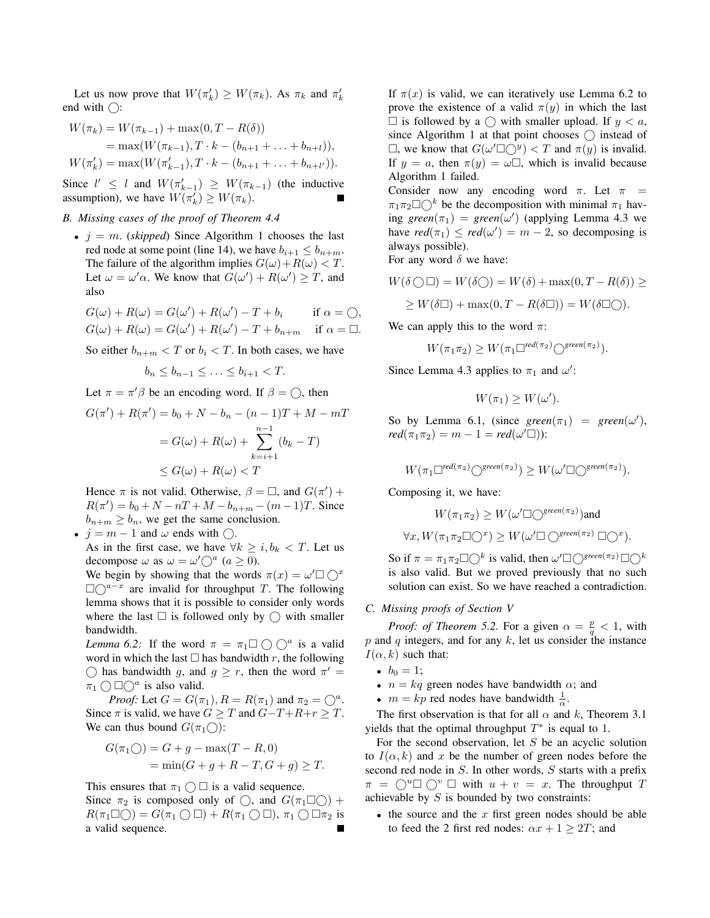Let us now prove that  $W(\pi'_k) \ge W(\pi_k)$ . As  $\pi_k$  and  $\pi'_k$ end with  $\bigcap$ :

$$
W(\pi_k) = W(\pi_{k-1}) + \max(0, T - R(\delta))
$$
  
=  $\max(W(\pi_{k-1}), T \cdot k - (b_{n+1} + \dots + b_{n+l})),$   

$$
W(\pi'_k) = \max(W(\pi'_{k-1}), T \cdot k - (b_{n+1} + \dots + b_{n+l'})).
$$

Since  $l' \leq l$  and  $W(\pi'_{k-1}) \geq W(\pi_{k-1})$  (the inductive assumption), we have  $W(\pi'_k) \ge W(\pi_k)$ .

# *B. Missing cases of the proof of Theorem 4.4*

•  $j = m$ . *(skipped)* Since Algorithm 1 chooses the last red node at some point (line 14), we have  $b_{i+1} \leq b_{n+m}$ . The failure of the algorithm implies  $G(\omega) + R(\omega) < T$ . Let  $\omega = \omega' \alpha$ . We know that  $G(\omega') + R(\omega') \geq T$ , and also

$$
G(\omega) + R(\omega) = G(\omega') + R(\omega') - T + b_i \quad \text{if } \alpha = \textcirclearrowleft,
$$
  

$$
G(\omega) + R(\omega) = G(\omega') + R(\omega') - T + b_{n+m} \quad \text{if } \alpha = \textcirclearrowleft.
$$

So either  $b_{n+m} < T$  or  $b_i < T$ . In both cases, we have

$$
b_n \leq b_{n-1} \leq \ldots \leq b_{i+1} < T.
$$

Let  $\pi = \pi' \beta$  be an encoding word. If  $\beta = \bigcirc$ , then

$$
G(\pi') + R(\pi') = b_0 + N - b_n - (n - 1)T + M - mT
$$

$$
= G(\omega) + R(\omega) + \sum_{k=i+1}^{n-1} (b_k - T)
$$

$$
\leq G(\omega) + R(\omega) < T
$$

Hence  $\pi$  is not valid. Otherwise,  $\beta = \Box$ , and  $G(\pi')$  +  $R(\pi') = b_0 + N - nT + M - b_{n+m} - (m-1)T$ . Since  $b_{n+m} \geq b_n$ , we get the same conclusion.

•  $j = m - 1$  and  $\omega$  ends with  $\bigcirc$ .

As in the first case, we have  $\forall k \geq i, b_k < T$ . Let us decompose  $\omega$  as  $\omega = \omega' \bigcirc^a (a \ge 0)$ .

We begin by showing that the words  $\pi(x) = \omega' \Box \bigcirc^x$  $\square \bigcirc^{a-x}$  are invalid for throughput T. The following lemma shows that it is possible to consider only words where the last  $\Box$  is followed only by  $\bigcirc$  with smaller bandwidth.

*Lemma 6.2:* If the word  $\pi = \pi_1 \square \bigcirc \bigcirc^a$  is a valid word in which the last  $\Box$  has bandwidth r, the following  $\bigcirc$  has bandwidth g, and  $g \geq r$ , then the word  $\pi' =$  $\pi_1 \bigcirc \Box \bigcirc^a$  is also valid.

*Proof:* Let  $G = G(\pi_1)$ ,  $R = R(\pi_1)$  and  $\pi_2 = \bigcirc^a$ . Since  $\pi$  is valid, we have  $G \geq T$  and  $G-T+R+r \geq T$ . We can thus bound  $G(\pi_1 \cap)$ :

$$
G(\pi_1 \bigcirc) = G + g - \max(T - R, 0)
$$
  
= 
$$
\min(G + g + R - T, G + g) \ge T.
$$

This ensures that  $\pi_1 \cap \square$  is a valid sequence.

Since  $\pi_2$  is composed only of  $\bigcirc$ , and  $G(\pi_1 \Box \bigcirc)$  +  $R(\pi_1 \Box \bigcirc) = G(\pi_1 \bigcirc \Box) + R(\pi_1 \bigcirc \Box), \pi_1 \bigcirc \Box \pi_2$  is a valid sequence.

If  $\pi(x)$  is valid, we can iteratively use Lemma 6.2 to prove the existence of a valid  $\pi(y)$  in which the last  $\Box$  is followed by a  $\bigcirc$  with smaller upload. If  $y < a$ , since Algorithm 1 at that point chooses  $\bigcap$  instead of  $\Box$ , we know that  $G(\omega' \Box \bigcirc y) < T$  and  $\pi(y)$  is invalid. If  $y = a$ , then  $\pi(y) = \omega \square$ , which is invalid because Algorithm 1 failed.

Consider now any encoding word  $\pi$ . Let  $\pi$  =  $\pi_1 \pi_2 \Box \bigcirc^k$  be the decomposition with minimal  $\pi_1$  hav- $\text{ing } \text{green}(\pi_1) = \text{green}(\omega') \text{ (applying Lemma 4.3 we}$ have  $\text{red}(\pi_1) \leq \text{red}(\omega') = m - 2$ , so decomposing is always possible).

For any word  $\delta$  we have:

$$
W(\delta \bigcirc \Box) = W(\delta \bigcirc) = W(\delta) + \max(0, T - R(\delta)) \ge
$$
  
 
$$
\ge W(\delta \Box) + \max(0, T - R(\delta \Box)) = W(\delta \Box \bigcirc).
$$

We can apply this to the word  $\pi$ :

$$
W(\pi_1 \pi_2) \ge W(\pi_1 \Box^{red(\pi_2)} \bigcirc^{green(\pi_2)}).
$$

Since Lemma 4.3 applies to  $\pi_1$  and  $\omega'$ :

$$
W(\pi_1) \ge W(\omega').
$$

So by Lemma 6.1, (since  $green(\pi_1) = green(\omega')$ ,  $\text{red}(\pi_1 \pi_2) = m - 1 = \text{red}(\omega' \square)$ :

$$
W(\pi_1 \Box^{red(\pi_2)} \bigcirc^{green(\pi_2)}) \geq W(\omega' \Box \bigcirc^{green(\pi_2)}).
$$

Composing it, we have:

$$
W(\pi_1 \pi_2) \ge W(\omega' \Box \bigcirc^{green(\pi_2)}) \text{and}
$$
  

$$
\forall x, W(\pi_1 \pi_2 \Box \bigcirc^x) \ge W(\omega' \Box \bigcirc^{green(\pi_2)} \Box \bigcirc^x).
$$

So if  $\pi = \pi_1 \pi_2 \Box \bigcirc^k$  is valid, then  $\omega' \Box \bigcirc^{green(\pi_2)} \Box \bigcirc^k$ is also valid. But we proved previously that no such solution can exist. So we have reached a contradiction.

#### *C. Missing proofs of Section V*

*Proof: of Theorem 5.2.* For a given  $\alpha = \frac{p}{q} < 1$ , with  $p$  and  $q$  integers, and for any  $k$ , let us consider the instance  $I(\alpha, k)$  such that:

- $b_0 = 1$ ;
- $n = kq$  green nodes have bandwidth  $\alpha$ ; and
- $m = kp$  red nodes have bandwidth  $\frac{1}{\alpha}$ .

The first observation is that for all  $\alpha$  and k, Theorem 3.1 yields that the optimal throughput  $T^*$  is equal to 1.

For the second observation, let  $S$  be an acyclic solution to  $I(\alpha, k)$  and x be the number of green nodes before the second red node in S. In other words, S starts with a prefix  $\pi = \bigcirc^u \square \bigcirc^v \square$  with  $u + v = x$ . The throughput T achievable by  $S$  is bounded by two constraints:

• the source and the  $x$  first green nodes should be able to feed the 2 first red nodes:  $\alpha x + 1 \geq 2T$ ; and